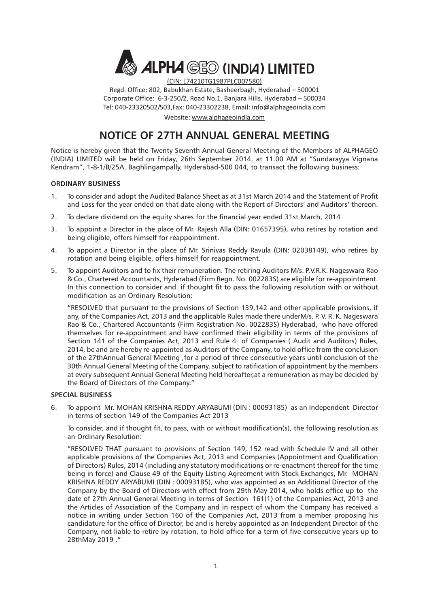

(CIN: L74210TG1987PLC007580)

Regd. Office: 802, Babukhan Estate, Basheerbagh, Hyderabad – 500001 Corporate Office: 6-3-250/2, Road No.1, Banjara Hills, Hyderabad – 500034 Tel: 040-23320502/503,Fax: 040-23302238, Email: info@alphageoindia.com

Website: www.alphageoindia.com

## **NOTICE OF 27TH ANNUAL GENERAL MEETING**

Notice is hereby given that the Twenty Seventh Annual General Meeting of the Members of ALPHAGEO (INDIA) LIMITED will be held on Friday, 26th September 2014, at 11.00 AM at "Sundarayya Vignana Kendram", 1-8-1/B/25A, Baghlingampally, Hyderabad-500 044, to transact the following business:

#### **ORDINARY BUSINESS**

- 1. To consider and adopt the Audited Balance Sheet as at 31st March 2014 and the Statement of Profit and Loss for the year ended on that date along with the Report of Directors' and Auditors' thereon.
- 2. To declare dividend on the equity shares for the financial year ended 31st March, 2014
- 3. To appoint a Director in the place of Mr. Rajesh Alla (DIN: 01657395), who retires by rotation and being eligible, offers himself for reappointment.
- 4. To appoint a Director in the place of Mr. Srinivas Reddy Ravula (DIN: 02038149), who retires by rotation and being eligible, offers himself for reappointment.
- 5. To appoint Auditors and to fix their remuneration. The retiring Auditors M/s. P.V.R.K. Nageswara Rao & Co., Chartered Accountants, Hyderabad (Firm Regn. No. 002283S) are eligible for re-appointment. In this connection to consider and if thought fit to pass the following resolution with or without modification as an Ordinary Resolution:

"RESOLVED that pursuant to the provisions of Section 139,142 and other applicable provisions, if any, of the Companies Act, 2013 and the applicable Rules made there underM/s. P. V. R. K. Nageswara Rao & Co., Chartered Accountants (Firm Registration No. 002283S) Hyderabad, who have offered themselves for re-appointment and have confirmed their eligibility in terms of the provisions of Section 141 of the Companies Act, 2013 and Rule 4 of Companies ( Audit and Auditors) Rules, 2014, be and are hereby re-appointed as Auditors of the Company, to hold office from the conclusion of the 27thAnnual General Meeting ,for a period of three consecutive years until conclusion of the 30th Annual General Meeting of the Company, subject to ratification of appointment by the members at every subsequent Annual General Meeting held hereafter,at a remuneration as may be decided by the Board of Directors of the Company."

#### **SPECIAL BUSINESS**

6. To appoint Mr. MOHAN KRISHNA REDDY ARYABUMI (DIN : 00093185) as an Independent Director in terms of section 149 of the Companies Act 2013

To consider, and if thought fit, to pass, with or without modification(s), the following resolution as an Ordinary Resolution:

"RESOLVED THAT pursuant to provisions of Section 149, 152 read with Schedule IV and all other applicable provisions of the Companies Act, 2013 and Companies (Appointment and Qualification of Directors) Rules, 2014 (including any statutory modifications or re-enactment thereof for the time being in force) and Clause 49 of the Equity Listing Agreement with Stock Exchanges, Mr. MOHAN KRISHNA REDDY ARYABUMI (DIN : 00093185), who was appointed as an Additional Director of the Company by the Board of Directors with effect from 29th May 2014, who holds office up to the date of 27th Annual General Meeting in terms of Section 161(1) of the Companies Act, 2013 and the Articles of Association of the Company and in respect of whom the Company has received a notice in writing under Section 160 of the Companies Act, 2013 from a member proposing his candidature for the office of Director, be and is hereby appointed as an Independent Director of the Company, not liable to retire by rotation, to hold office for a term of five consecutive years up to 28thMay 2019 ."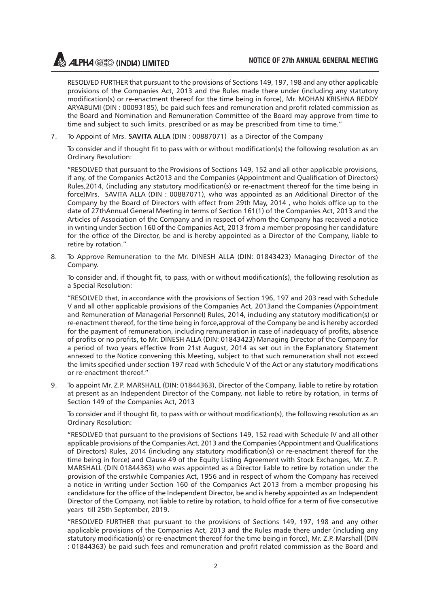RESOLVED FURTHER that pursuant to the provisions of Sections 149, 197, 198 and any other applicable provisions of the Companies Act, 2013 and the Rules made there under (including any statutory modification(s) or re-enactment thereof for the time being in force), Mr. MOHAN KRISHNA REDDY ARYABUMI (DIN : 00093185), be paid such fees and remuneration and profit related commission as the Board and Nomination and Remuneration Committee of the Board may approve from time to time and subject to such limits, prescribed or as may be prescribed from time to time."

7. To Appoint of Mrs. **SAVITA ALLA** (DIN : 00887071) as a Director of the Company

To consider and if thought fit to pass with or without modification(s) the following resolution as an Ordinary Resolution:

"RESOLVED that pursuant to the Provisions of Sections 149, 152 and all other applicable provisions, if any, of the Companies Act2013 and the Companies (Appointment and Qualification of Directors) Rules,2014, (including any statutory modification(s) or re-enactment thereof for the time being in force)Mrs. SAVITA ALLA (DIN : 00887071), who was appointed as an Additional Director of the Company by the Board of Directors with effect from 29th May, 2014 , who holds office up to the date of 27thAnnual General Meeting in terms of Section 161(1) of the Companies Act, 2013 and the Articles of Association of the Company and in respect of whom the Company has received a notice in writing under Section 160 of the Companies Act, 2013 from a member proposing her candidature for the office of the Director, be and is hereby appointed as a Director of the Company, liable to retire by rotation."

8. To Approve Remuneration to the Mr. DINESH ALLA (DIN: 01843423) Managing Director of the Company.

To consider and, if thought fit, to pass, with or without modification(s), the following resolution as a Special Resolution:

"RESOLVED that, in accordance with the provisions of Section 196, 197 and 203 read with Schedule V and all other applicable provisions of the Companies Act, 2013and the Companies (Appointment and Remuneration of Managerial Personnel) Rules, 2014, including any statutory modification(s) or re-enactment thereof, for the time being in force,approval of the Company be and is hereby accorded for the payment of remuneration, including remuneration in case of inadequacy of profits, absence of profits or no profits, to Mr. DINESH ALLA (DIN: 01843423) Managing Director of the Company for a period of two years effective from 21st August, 2014 as set out in the Explanatory Statement annexed to the Notice convening this Meeting, subject to that such remuneration shall not exceed the limits specified under section 197 read with Schedule V of the Act or any statutory modifications or re-enactment thereof."

9. To appoint Mr. Z.P. MARSHALL (DIN: 01844363), Director of the Company, liable to retire by rotation at present as an Independent Director of the Company, not liable to retire by rotation, in terms of Section 149 of the Companies Act, 2013

To consider and if thought fit, to pass with or without modification(s), the following resolution as an Ordinary Resolution:

"RESOLVED that pursuant to the provisions of Sections 149, 152 read with Schedule IV and all other applicable provisions of the Companies Act, 2013 and the Companies (Appointment and Qualifications of Directors) Rules, 2014 (including any statutory modification(s) or re-enactment thereof for the time being in force) and Clause 49 of the Equity Listing Agreement with Stock Exchanges, Mr. Z. P. MARSHALL (DIN 01844363) who was appointed as a Director liable to retire by rotation under the provision of the erstwhile Companies Act, 1956 and in respect of whom the Company has received a notice in writing under Section 160 of the Companies Act 2013 from a member proposing his candidature for the office of the Independent Director, be and is hereby appointed as an Independent Director of the Company, not liable to retire by rotation, to hold office for a term of five consecutive years till 25th September, 2019.

"RESOLVED FURTHER that pursuant to the provisions of Sections 149, 197, 198 and any other applicable provisions of the Companies Act, 2013 and the Rules made there under (including any statutory modification(s) or re-enactment thereof for the time being in force), Mr. Z.P. Marshall (DIN : 01844363) be paid such fees and remuneration and profit related commission as the Board and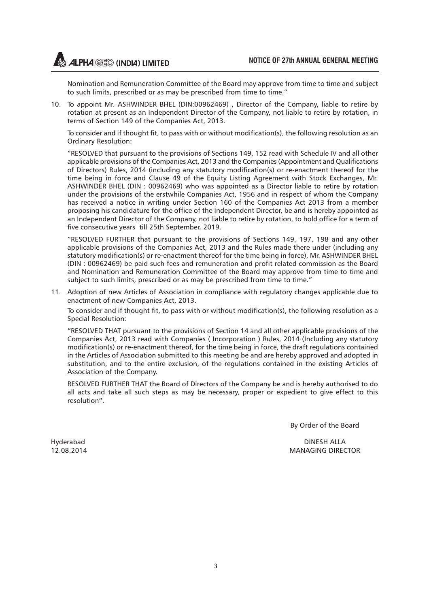Nomination and Remuneration Committee of the Board may approve from time to time and subject to such limits, prescribed or as may be prescribed from time to time."

10. To appoint Mr. ASHWINDER BHEL (DIN:00962469) , Director of the Company, liable to retire by rotation at present as an Independent Director of the Company, not liable to retire by rotation, in terms of Section 149 of the Companies Act, 2013.

To consider and if thought fit, to pass with or without modification(s), the following resolution as an Ordinary Resolution:

"RESOLVED that pursuant to the provisions of Sections 149, 152 read with Schedule IV and all other applicable provisions of the Companies Act, 2013 and the Companies (Appointment and Qualifications of Directors) Rules, 2014 (including any statutory modification(s) or re-enactment thereof for the time being in force and Clause 49 of the Equity Listing Agreement with Stock Exchanges, Mr. ASHWINDER BHEL (DIN : 00962469) who was appointed as a Director liable to retire by rotation under the provisions of the erstwhile Companies Act, 1956 and in respect of whom the Company has received a notice in writing under Section 160 of the Companies Act 2013 from a member proposing his candidature for the office of the Independent Director, be and is hereby appointed as an Independent Director of the Company, not liable to retire by rotation, to hold office for a term of five consecutive years till 25th September, 2019.

"RESOLVED FURTHER that pursuant to the provisions of Sections 149, 197, 198 and any other applicable provisions of the Companies Act, 2013 and the Rules made there under (including any statutory modification(s) or re-enactment thereof for the time being in force), Mr. ASHWINDER BHEL (DIN : 00962469) be paid such fees and remuneration and profit related commission as the Board and Nomination and Remuneration Committee of the Board may approve from time to time and subject to such limits, prescribed or as may be prescribed from time to time."

11. Adoption of new Articles of Association in compliance with regulatory changes applicable due to enactment of new Companies Act, 2013.

To consider and if thought fit, to pass with or without modification(s), the following resolution as a Special Resolution:

"RESOLVED THAT pursuant to the provisions of Section 14 and all other applicable provisions of the Companies Act, 2013 read with Companies ( Incorporation ) Rules, 2014 (Including any statutory modification(s) or re-enactment thereof, for the time being in force, the draft regulations contained in the Articles of Association submitted to this meeting be and are hereby approved and adopted in substitution, and to the entire exclusion, of the regulations contained in the existing Articles of Association of the Company.

RESOLVED FURTHER THAT the Board of Directors of the Company be and is hereby authorised to do all acts and take all such steps as may be necessary, proper or expedient to give effect to this resolution".

By Order of the Board

Hyderabad DINESH ALLA 12.08.2014 MANAGING DIRECTOR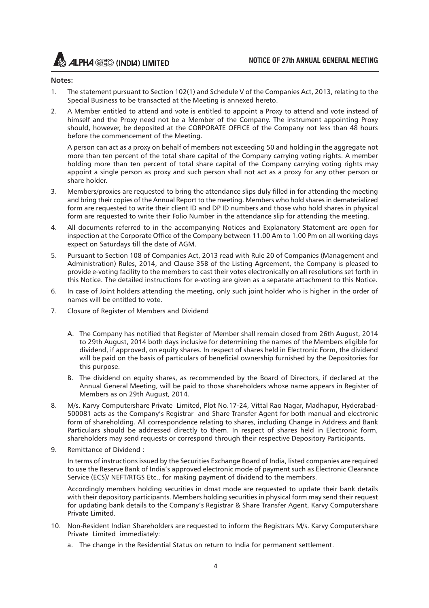#### **Notes:**

- 1. The statement pursuant to Section 102(1) and Schedule V of the Companies Act, 2013, relating to the Special Business to be transacted at the Meeting is annexed hereto.
- 2. A Member entitled to attend and vote is entitled to appoint a Proxy to attend and vote instead of himself and the Proxy need not be a Member of the Company. The instrument appointing Proxy should, however, be deposited at the CORPORATE OFFICE of the Company not less than 48 hours before the commencement of the Meeting.

A person can act as a proxy on behalf of members not exceeding 50 and holding in the aggregate not more than ten percent of the total share capital of the Company carrying voting rights. A member holding more than ten percent of total share capital of the Company carrying voting rights may appoint a single person as proxy and such person shall not act as a proxy for any other person or share holder.

- 3. Members/proxies are requested to bring the attendance slips duly filled in for attending the meeting and bring their copies of the Annual Report to the meeting. Members who hold shares in dematerialized form are requested to write their client ID and DP ID numbers and those who hold shares in physical form are requested to write their Folio Number in the attendance slip for attending the meeting.
- 4. All documents referred to in the accompanying Notices and Explanatory Statement are open for inspection at the Corporate Office of the Company between 11.00 Am to 1.00 Pm on all working days expect on Saturdays till the date of AGM.
- 5. Pursuant to Section 108 of Companies Act, 2013 read with Rule 20 of Companies (Management and Administration) Rules, 2014, and Clause 35B of the Listing Agreement, the Company is pleased to provide e-voting facility to the members to cast their votes electronically on all resolutions set forth in this Notice. The detailed instructions for e-voting are given as a separate attachment to this Notice.
- 6. In case of Joint holders attending the meeting, only such joint holder who is higher in the order of names will be entitled to vote.
- 7. Closure of Register of Members and Dividend
	- A. The Company has notified that Register of Member shall remain closed from 26th August, 2014 to 29th August, 2014 both days inclusive for determining the names of the Members eligible for dividend, if approved, on equity shares. In respect of shares held in Electronic Form, the dividend will be paid on the basis of particulars of beneficial ownership furnished by the Depositories for this purpose.
	- B. The dividend on equity shares, as recommended by the Board of Directors, if declared at the Annual General Meeting, will be paid to those shareholders whose name appears in Register of Members as on 29th August, 2014.
- 8. M/s. Karvy Computershare Private Limited, Plot No.17-24, Vittal Rao Nagar, Madhapur, Hyderabad-500081 acts as the Company's Registrar and Share Transfer Agent for both manual and electronic form of shareholding. All correspondence relating to shares, including Change in Address and Bank Particulars should be addressed directly to them. In respect of shares held in Electronic form, shareholders may send requests or correspond through their respective Depository Participants.
- 9. Remittance of Dividend :

In terms of instructions issued by the Securities Exchange Board of India, listed companies are required to use the Reserve Bank of India's approved electronic mode of payment such as Electronic Clearance Service (ECS)/ NEFT/RTGS Etc., for making payment of dividend to the members.

Accordingly members holding securities in dmat mode are requested to update their bank details with their depository participants. Members holding securities in physical form may send their request for updating bank details to the Company's Registrar & Share Transfer Agent, Karvy Computershare Private Limited.

- 10. Non-Resident Indian Shareholders are requested to inform the Registrars M/s. Karvy Computershare Private Limited immediately:
	- a. The change in the Residential Status on return to India for permanent settlement.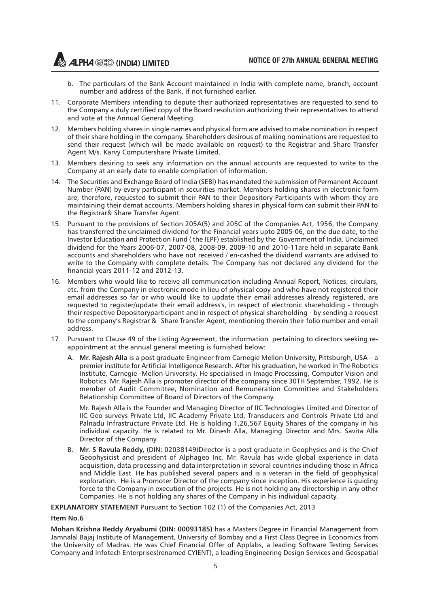- b. The particulars of the Bank Account maintained in India with complete name, branch, account number and address of the Bank, if not furnished earlier.
- 11. Corporate Members intending to depute their authorized representatives are requested to send to the Company a duly certified copy of the Board resolution authorizing their representatives to attend and vote at the Annual General Meeting.
- 12. Members holding shares in single names and physical form are advised to make nomination in respect of their share holding in the company. Shareholders desirous of making nominations are requested to send their request (which will be made available on request) to the Registrar and Share Transfer Agent M/s. Karvy Computershare Private Limited.
- 13. Members desiring to seek any information on the annual accounts are requested to write to the Company at an early date to enable compilation of information.
- 14. The Securities and Exchange Board of India (SEBI) has mandated the submission of Permanent Account Number (PAN) by every participant in securities market. Members holding shares in electronic form are, therefore, requested to submit their PAN to their Depository Participants with whom they are maintaining their demat accounts. Members holding shares in physical form can submit their PAN to the Registrar& Share Transfer Agent.
- 15. Pursuant to the provisions of Section 205A(5) and 205C of the Companies Act, 1956, the Company has transferred the unclaimed dividend for the Financial years upto 2005-06, on the due date, to the Investor Education and Protection Fund ( the IEPF) established by the Government of India. Unclaimed dividend for the Years 2006-07, 2007-08, 2008-09, 2009-10 and 2010-11are held in separate Bank accounts and shareholders who have not received / en-cashed the dividend warrants are advised to write to the Company with complete details. The Company has not declared any dividend for the financial years 2011-12 and 2012-13.
- 16. Members who would like to receive all communication including Annual Report, Notices, circulars, etc. from the Company in electronic mode in lieu of physical copy and who have not registered their email addresses so far or who would like to update their email addresses already registered, are requested to register/update their email address's, in respect of electronic shareholding - through their respective Depositoryparticipant and in respect of physical shareholding - by sending a request to the company's Registrar & Share Transfer Agent, mentioning therein their folio number and email address.
- 17. Pursuant to Clause 49 of the Listing Agreement, the information pertaining to directors seeking reappointment at the annual general meeting is furnished below:
	- A. **Mr. Rajesh Alla** is a post graduate Engineer from Carnegie Mellon University, Pittsburgh, USA a premier institute for Artificial Intelligence Research. After his graduation, he worked in The Robotics Institute, Carnegie -Mellon University. He specialised in Image Processing, Computer Vision and Robotics. Mr. Rajesh Alla is promoter director of the company since 30TH September, 1992. He is member of Audit Committee, Nomination and Remuneration Committee and Stakeholders Relationship Committee of Board of Directors of the Company.

Mr. Rajesh Alla is the Founder and Managing Director of IIC Technologies Limited and Director of IIC Geo surveys Private Ltd, IIC Academy Private Ltd, Transducers and Controls Private Ltd and Palnadu Infrastructure Private Ltd. He is holding 1,26,567 Equity Shares of the company in his individual capacity. He is related to Mr. Dinesh Alla, Managing Director and Mrs. Savita Alla Director of the Company.

B. **Mr. S Ravula Reddy,** (DIN: 02038149)Director is a post graduate in Geophysics and is the Chief Geophysicist and president of Alphageo Inc. Mr. Ravula has wide global experience in data acquisition, data processing and data interpretation in several countries including those in Africa and Middle East. He has published several papers and is a veteran in the field of geophysical exploration. He is a Promoter Director of the company since inception. His experience is guiding force to the Company in execution of the projects. He is not holding any directorship in any other Companies. He is not holding any shares of the Company in his individual capacity.

**EXPLANATORY STATEMENT** Pursuant to Section 102 (1) of the Companies Act, 2013

#### **Item No.6**

**Mohan Krishna Reddy Aryabumi (DIN: 00093185)** has a Masters Degree in Financial Management from Jamnalal Bajaj Institute of Management, University of Bombay and a First Class Degree in Economics from the University of Madras. He was Chief Financial Offer of Applabs, a leading Software Testing Services Company and Infotech Enterprises(renamed CYIENT), a leading Engineering Design Services and Geospatial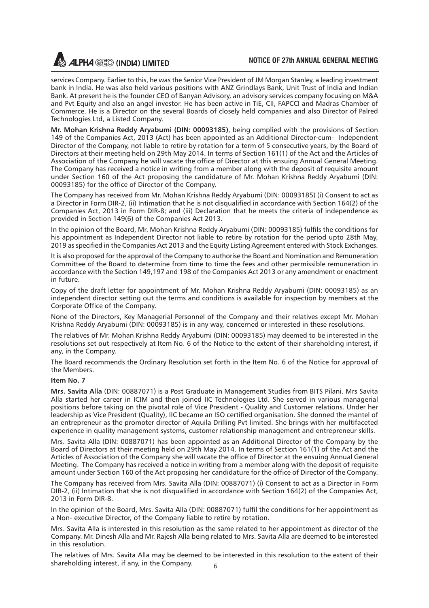services Company. Earlier to this, he was the Senior Vice President of JM Morgan Stanley, a leading investment bank in India. He was also held various positions with ANZ Grindlays Bank, Unit Trust of India and Indian Bank. At present he is the founder CEO of Banyan Advisory, an advisory services company focusing on M&A and Pvt Equity and also an angel investor. He has been active in TiE, CII, FAPCCI and Madras Chamber of Commerce. He is a Director on the several Boards of closely held companies and also Director of Palred Technologies Ltd, a Listed Company.

**Mr. Mohan Krishna Reddy Aryabumi (DIN: 00093185)**, being complied with the provisions of Section 149 of the Companies Act, 2013 (Act) has been appointed as an Additional Director-cum- Independent Director of the Company, not liable to retire by rotation for a term of 5 consecutive years, by the Board of Directors at their meeting held on 29th May 2014. In terms of Section 161(1) of the Act and the Articles of Association of the Company he will vacate the office of Director at this ensuing Annual General Meeting. The Company has received a notice in writing from a member along with the deposit of requisite amount under Section 160 of the Act proposing the candidature of Mr. Mohan Krishna Reddy Aryabumi (DIN: 00093185) for the office of Director of the Company.

The Company has received from Mr. Mohan Krishna Reddy Aryabumi (DIN: 00093185) (i) Consent to act as a Director in Form DIR-2, (ii) Intimation that he is not disqualified in accordance with Section 164(2) of the Companies Act, 2013 in Form DIR-8; and (iii) Declaration that he meets the criteria of independence as provided in Section 149(6) of the Companies Act 2013.

In the opinion of the Board, Mr. Mohan Krishna Reddy Aryabumi (DIN: 00093185) fulfils the conditions for his appointment as Independent Director not liable to retire by rotation for the period upto 28th May, 2019 as specified in the Companies Act 2013 and the Equity Listing Agreement entered with Stock Exchanges.

It is also proposed for the approval of the Company to authorise the Board and Nomination and Remuneration Committee of the Board to determine from time to time the fees and other permissible remuneration in accordance with the Section 149,197 and 198 of the Companies Act 2013 or any amendment or enactment in future.

Copy of the draft letter for appointment of Mr. Mohan Krishna Reddy Aryabumi (DIN: 00093185) as an independent director setting out the terms and conditions is available for inspection by members at the Corporate Office of the Company.

None of the Directors, Key Managerial Personnel of the Company and their relatives except Mr. Mohan Krishna Reddy Aryabumi (DIN: 00093185) is in any way, concerned or interested in these resolutions.

The relatives of Mr. Mohan Krishna Reddy Aryabumi (DIN: 00093185) may deemed to be interested in the resolutions set out respectively at Item No. 6 of the Notice to the extent of their shareholding interest, if any, in the Company.

The Board recommends the Ordinary Resolution set forth in the Item No. 6 of the Notice for approval of the Members.

#### **Item No. 7**

**Mrs. Savita Alla** (DIN: 00887071) is a Post Graduate in Management Studies from BITS Pilani. Mrs Savita Alla started her career in ICIM and then joined IIC Technologies Ltd. She served in various managerial positions before taking on the pivotal role of Vice President - Quality and Customer relations. Under her leadership as Vice President (Quality), IIC became an ISO certified organisation. She donned the mantel of an entrepreneur as the promoter director of Aquila Drilling Pvt limited. She brings with her multifaceted experience in quality management systems, customer relationship management and entrepreneur skills.

Mrs. Savita Alla (DIN: 00887071) has been appointed as an Additional Director of the Company by the Board of Directors at their meeting held on 29th May 2014. In terms of Section 161(1) of the Act and the Articles of Association of the Company she will vacate the office of Director at the ensuing Annual General Meeting. The Company has received a notice in writing from a member along with the deposit of requisite amount under Section 160 of the Act proposing her candidature for the office of Director of the Company.

The Company has received from Mrs. Savita Alla (DIN: 00887071) (i) Consent to act as a Director in Form DIR-2, (ii) Intimation that she is not disqualified in accordance with Section 164(2) of the Companies Act, 2013 in Form DIR-8.

In the opinion of the Board, Mrs. Savita Alla (DIN: 00887071) fulfil the conditions for her appointment as a Non- executive Director, of the Company liable to retire by rotation.

Mrs. Savita Alla is interested in this resolution as the same related to her appointment as director of the Company. Mr. Dinesh Alla and Mr. Rajesh Alla being related to Mrs. Savita Alla are deemed to be interested in this resolution.

6 The relatives of Mrs. Savita Alla may be deemed to be interested in this resolution to the extent of their shareholding interest, if any, in the Company.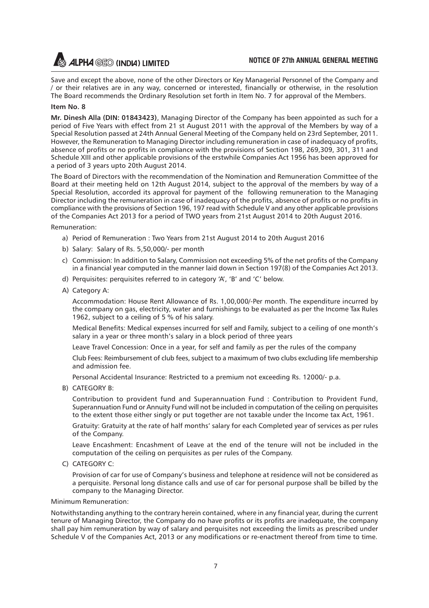Save and except the above, none of the other Directors or Key Managerial Personnel of the Company and / or their relatives are in any way, concerned or interested, financially or otherwise, in the resolution The Board recommends the Ordinary Resolution set forth in Item No. 7 for approval of the Members.

#### **Item No. 8**

**Mr. Dinesh Alla (DIN: 01843423)**, Managing Director of the Company has been appointed as such for a period of Five Years with effect from 21 st August 2011 with the approval of the Members by way of a Special Resolution passed at 24th Annual General Meeting of the Company held on 23rd September, 2011. However, the Remuneration to Managing Director including remuneration in case of inadequacy of profits, absence of profits or no profits in compliance with the provisions of Section 198, 269,309, 301, 311 and Schedule XIII and other applicable provisions of the erstwhile Companies Act 1956 has been approved for a period of 3 years upto 20th August 2014.

The Board of Directors with the recommendation of the Nomination and Remuneration Committee of the Board at their meeting held on 12th August 2014, subject to the approval of the members by way of a Special Resolution, accorded its approval for payment of the following remuneration to the Managing Director including the remuneration in case of inadequacy of the profits, absence of profits or no profits in compliance with the provisions of Section 196, 197 read with Schedule V and any other applicable provisions of the Companies Act 2013 for a period of TWO years from 21st August 2014 to 20th August 2016.

Remuneration:

- a) Period of Remuneration : Two Years from 21st August 2014 to 20th August 2016
- b) Salary: Salary of Rs. 5,50,000/- per month
- c) Commission: In addition to Salary, Commission not exceeding 5% of the net profits of the Company in a financial year computed in the manner laid down in Section 197(8) of the Companies Act 2013.
- d) Perquisites: perquisites referred to in category 'A', 'B' and 'C' below.
- A) Category A:

Accommodation: House Rent Allowance of Rs. 1,00,000/-Per month. The expenditure incurred by the company on gas, electricity, water and furnishings to be evaluated as per the Income Tax Rules 1962, subject to a ceiling of 5 % of his salary.

Medical Benefits: Medical expenses incurred for self and Family, subject to a ceiling of one month's salary in a year or three month's salary in a block period of three years

Leave Travel Concession: Once in a year, for self and family as per the rules of the company

Club Fees: Reimbursement of club fees, subject to a maximum of two clubs excluding life membership and admission fee.

Personal Accidental Insurance: Restricted to a premium not exceeding Rs. 12000/- p.a.

B) CATEGORY B:

Contribution to provident fund and Superannuation Fund : Contribution to Provident Fund, Superannuation Fund or Annuity Fund will not be included in computation of the ceiling on perquisites to the extent those either singly or put together are not taxable under the Income tax Act, 1961.

Gratuity: Gratuity at the rate of half months' salary for each Completed year of services as per rules of the Company.

Leave Encashment: Encashment of Leave at the end of the tenure will not be included in the computation of the ceiling on perquisites as per rules of the Company.

C) CATEGORY C:

Provision of car for use of Company's business and telephone at residence will not be considered as a perquisite. Personal long distance calls and use of car for personal purpose shall be billed by the company to the Managing Director.

Minimum Remuneration:

Notwithstanding anything to the contrary herein contained, where in any financial year, during the current tenure of Managing Director, the Company do no have profits or its profits are inadequate, the company shall pay him remuneration by way of salary and perquisites not exceeding the limits as prescribed under Schedule V of the Companies Act, 2013 or any modifications or re-enactment thereof from time to time.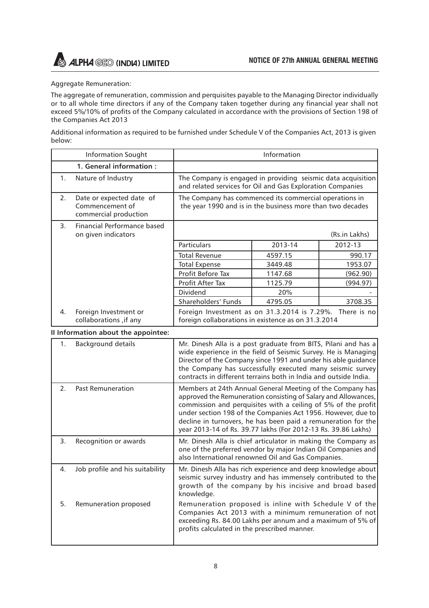

#### Aggregate Remuneration:

The aggregate of remuneration, commission and perquisites payable to the Managing Director individually or to all whole time directors if any of the Company taken together during any financial year shall not exceed 5%/10% of profits of the Company calculated in accordance with the provisions of Section 198 of the Companies Act 2013

Additional information as required to be furnished under Schedule V of the Companies Act, 2013 is given below:

|                                     | <b>Information Sought</b>                                            | Information                                                                                                                                                                                                                                                                                                                                                                                    |         |               |
|-------------------------------------|----------------------------------------------------------------------|------------------------------------------------------------------------------------------------------------------------------------------------------------------------------------------------------------------------------------------------------------------------------------------------------------------------------------------------------------------------------------------------|---------|---------------|
|                                     | 1. General information:                                              |                                                                                                                                                                                                                                                                                                                                                                                                |         |               |
| 1.                                  | Nature of Industry                                                   | The Company is engaged in providing seismic data acquisition<br>and related services for Oil and Gas Exploration Companies                                                                                                                                                                                                                                                                     |         |               |
| 2.                                  | Date or expected date of<br>Commencement of<br>commercial production | The Company has commenced its commercial operations in<br>the year 1990 and is in the business more than two decades                                                                                                                                                                                                                                                                           |         |               |
| 3.                                  | Financial Performance based<br>on given indicators                   |                                                                                                                                                                                                                                                                                                                                                                                                |         | (Rs.in Lakhs) |
|                                     |                                                                      | Particulars                                                                                                                                                                                                                                                                                                                                                                                    | 2013-14 | 2012-13       |
|                                     |                                                                      | <b>Total Revenue</b>                                                                                                                                                                                                                                                                                                                                                                           | 4597.15 | 990.17        |
|                                     |                                                                      | <b>Total Expense</b>                                                                                                                                                                                                                                                                                                                                                                           | 3449.48 | 1953.07       |
|                                     |                                                                      | Profit Before Tax                                                                                                                                                                                                                                                                                                                                                                              | 1147.68 | (962.90)      |
|                                     |                                                                      | Profit After Tax                                                                                                                                                                                                                                                                                                                                                                               | 1125.79 | (994.97)      |
|                                     |                                                                      | Dividend                                                                                                                                                                                                                                                                                                                                                                                       | 20%     |               |
|                                     |                                                                      | Shareholders' Funds                                                                                                                                                                                                                                                                                                                                                                            | 4795.05 | 3708.35       |
| 4.                                  | Foreign Investment or<br>collaborations, if any                      | Foreign Investment as on 31.3.2014 is 7.29%.<br>There is no<br>foreign collaborations in existence as on 31.3.2014                                                                                                                                                                                                                                                                             |         |               |
| Il Information about the appointee: |                                                                      |                                                                                                                                                                                                                                                                                                                                                                                                |         |               |
| 1.                                  | <b>Background details</b>                                            | Mr. Dinesh Alla is a post graduate from BITS, Pilani and has a<br>wide experience in the field of Seismic Survey. He is Managing<br>Director of the Company since 1991 and under his able guidance<br>the Company has successfully executed many seismic survey<br>contracts in different terrains both in India and outside India.                                                            |         |               |
| 2 <sub>1</sub>                      | <b>Past Remuneration</b>                                             | Members at 24th Annual General Meeting of the Company has<br>approved the Remuneration consisting of Salary and Allowances,<br>commission and perquisites with a ceiling of 5% of the profit<br>under section 198 of the Companies Act 1956. However, due to<br>decline in turnovers, he has been paid a remuneration for the<br>year 2013-14 of Rs. 39.77 lakhs (For 2012-13 Rs. 39.86 Lakhs) |         |               |
| 3.                                  | Recognition or awards                                                | Mr. Dinesh Alla is chief articulator in making the Company as<br>one of the preferred vendor by major Indian Oil Companies and<br>also International renowned Oil and Gas Companies.                                                                                                                                                                                                           |         |               |
| 4 <sup>1</sup>                      | Job profile and his suitability                                      | Mr. Dinesh Alla has rich experience and deep knowledge about<br>seismic survey industry and has immensely contributed to the<br>growth of the company by his incisive and broad based<br>knowledge.                                                                                                                                                                                            |         |               |
| 5.                                  | Remuneration proposed                                                | Remuneration proposed is inline with Schedule V of the<br>Companies Act 2013 with a minimum remuneration of not<br>exceeding Rs. 84.00 Lakhs per annum and a maximum of 5% of                                                                                                                                                                                                                  |         |               |

profits calculated in the prescribed manner.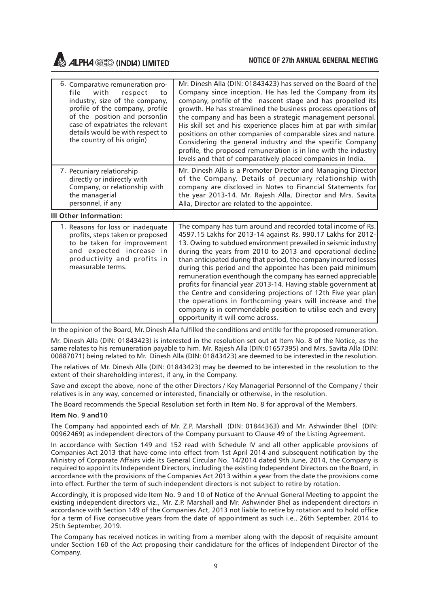#### **NOTICE OF 27th ANNUAL GENERAL MEETING**

**ALPHA GEO (INDIA) LIMITED** 

| 6. Comparative remuneration pro-<br>file with respect<br>to<br>industry, size of the company,<br>profile of the company, profile<br>of the position and person(in<br>case of expatriates the relevant<br>details would be with respect to<br>the country of his origin) | Mr. Dinesh Alla (DIN: 01843423) has served on the Board of the<br>Company since inception. He has led the Company from its<br>company, profile of the nascent stage and has propelled its<br>growth. He has streamlined the business process operations of<br>the company and has been a strategic management personal.<br>His skill set and his experience places him at par with similar<br>positions on other companies of comparable sizes and nature.<br>Considering the general industry and the specific Company<br>profile, the proposed remuneration is in line with the industry<br>levels and that of comparatively placed companies in India. |
|-------------------------------------------------------------------------------------------------------------------------------------------------------------------------------------------------------------------------------------------------------------------------|-----------------------------------------------------------------------------------------------------------------------------------------------------------------------------------------------------------------------------------------------------------------------------------------------------------------------------------------------------------------------------------------------------------------------------------------------------------------------------------------------------------------------------------------------------------------------------------------------------------------------------------------------------------|
| 7. Pecuniary relationship                                                                                                                                                                                                                                               | Mr. Dinesh Alla is a Promoter Director and Managing Director                                                                                                                                                                                                                                                                                                                                                                                                                                                                                                                                                                                              |
| directly or indirectly with                                                                                                                                                                                                                                             | of the Company. Details of pecuniary relationship with                                                                                                                                                                                                                                                                                                                                                                                                                                                                                                                                                                                                    |
| Company, or relationship with                                                                                                                                                                                                                                           | company are disclosed in Notes to Financial Statements for                                                                                                                                                                                                                                                                                                                                                                                                                                                                                                                                                                                                |
| the managerial                                                                                                                                                                                                                                                          | the year 2013-14. Mr. Rajesh Alla, Director and Mrs. Savita                                                                                                                                                                                                                                                                                                                                                                                                                                                                                                                                                                                               |
| personnel, if any                                                                                                                                                                                                                                                       | Alla, Director are related to the appointee.                                                                                                                                                                                                                                                                                                                                                                                                                                                                                                                                                                                                              |

**III Other Information:**

| 1. Reasons for loss or inadequate<br>profits, steps taken or proposed<br>to be taken for improvement<br>and expected increase in<br>productivity and profits in<br>measurable terms. | The company has turn around and recorded total income of Rs.<br>4597.15 Lakhs for 2013-14 against Rs. 990.17 Lakhs for 2012-<br>13. Owing to subdued environment prevailed in seismic industry<br>during the years from 2010 to 2013 and operational decline<br>than anticipated during that period, the company incurred losses<br>during this period and the appointee has been paid minimum<br>remuneration eventhough the company has earned appreciable<br>profits for financial year 2013-14. Having stable government at<br>the Centre and considering projections of 12th Five year plan<br>the operations in forthcoming years will increase and the<br>company is in commendable position to utilise each and every<br>opportunity it will come across. |
|--------------------------------------------------------------------------------------------------------------------------------------------------------------------------------------|-------------------------------------------------------------------------------------------------------------------------------------------------------------------------------------------------------------------------------------------------------------------------------------------------------------------------------------------------------------------------------------------------------------------------------------------------------------------------------------------------------------------------------------------------------------------------------------------------------------------------------------------------------------------------------------------------------------------------------------------------------------------|
|--------------------------------------------------------------------------------------------------------------------------------------------------------------------------------------|-------------------------------------------------------------------------------------------------------------------------------------------------------------------------------------------------------------------------------------------------------------------------------------------------------------------------------------------------------------------------------------------------------------------------------------------------------------------------------------------------------------------------------------------------------------------------------------------------------------------------------------------------------------------------------------------------------------------------------------------------------------------|

In the opinion of the Board, Mr. Dinesh Alla fulfilled the conditions and entitle for the proposed remuneration.

Mr. Dinesh Alla (DIN: 01843423) is interested in the resolution set out at Item No. 8 of the Notice, as the same relates to his remuneration payable to him. Mr. Rajesh Alla (DIN:01657395) and Mrs. Savita Alla (DIN: 00887071) being related to Mr. Dinesh Alla (DIN: 01843423) are deemed to be interested in the resolution.

The relatives of Mr. Dinesh Alla (DIN: 01843423) may be deemed to be interested in the resolution to the extent of their shareholding interest, if any, in the Company.

Save and except the above, none of the other Directors / Key Managerial Personnel of the Company / their relatives is in any way, concerned or interested, financially or otherwise, in the resolution.

The Board recommends the Special Resolution set forth in Item No. 8 for approval of the Members.

#### **Item No. 9 and10**

The Company had appointed each of Mr. Z.P. Marshall (DIN: 01844363) and Mr. Ashwinder Bhel (DIN: 00962469) as independent directors of the Company pursuant to Clause 49 of the Listing Agreement.

In accordance with Section 149 and 152 read with Schedule IV and all other applicable provisions of Companies Act 2013 that have come into effect from 1st April 2014 and subsequent notification by the Ministry of Corporate Affairs vide its General Circular No. 14/2014 dated 9th June, 2014, the Company is required to appoint its Independent Directors, including the existing Independent Directors on the Board, in accordance with the provisions of the Companies Act 2013 within a year from the date the provisions come into effect. Further the term of such independent directors is not subject to retire by rotation.

Accordingly, it is proposed vide Item No. 9 and 10 of Notice of the Annual General Meeting to appoint the existing independent directors viz., Mr. Z.P. Marshall and Mr. Ashwinder Bhel as independent directors in accordance with Section 149 of the Companies Act, 2013 not liable to retire by rotation and to hold office for a term of Five consecutive years from the date of appointment as such i.e., 26th September, 2014 to 25th September, 2019.

The Company has received notices in writing from a member along with the deposit of requisite amount under Section 160 of the Act proposing their candidature for the offices of Independent Director of the Company.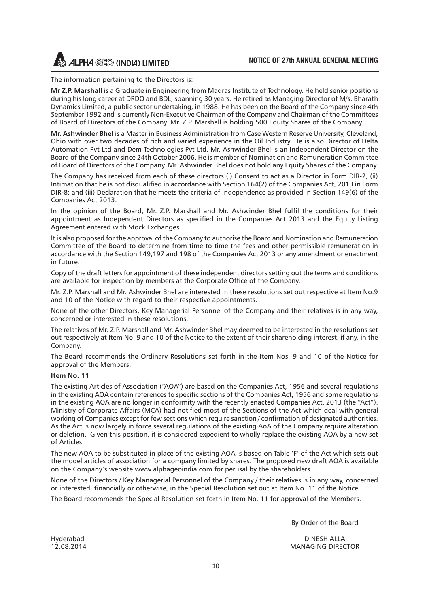The information pertaining to the Directors is:

**Mr Z.P. Marshall** is a Graduate in Engineering from Madras Institute of Technology. He held senior positions during his long career at DRDO and BDL, spanning 30 years. He retired as Managing Director of M/s. Bharath Dynamics Limited, a public sector undertaking, in 1988. He has been on the Board of the Company since 4th September 1992 and is currently Non-Executive Chairman of the Company and Chairman of the Committees of Board of Directors of the Company. Mr. Z.P. Marshall is holding 500 Equity Shares of the Company.

**Mr. Ashwinder Bhel** is a Master in Business Administration from Case Western Reserve University, Cleveland, Ohio with over two decades of rich and varied experience in the Oil Industry. He is also Director of Delta Automation Pvt Ltd and Dem Technologies Pvt Ltd. Mr. Ashwinder Bhel is an Independent Director on the Board of the Company since 24th October 2006. He is member of Nomination and Remuneration Committee of Board of Directors of the Company. Mr. Ashwinder Bhel does not hold any Equity Shares of the Company.

The Company has received from each of these directors (i) Consent to act as a Director in Form DIR-2, (ii) Intimation that he is not disqualified in accordance with Section 164(2) of the Companies Act, 2013 in Form DIR-8; and (iii) Declaration that he meets the criteria of independence as provided in Section 149(6) of the Companies Act 2013.

In the opinion of the Board, Mr. Z.P. Marshall and Mr. Ashwinder Bhel fulfil the conditions for their appointment as Independent Directors as specified in the Companies Act 2013 and the Equity Listing Agreement entered with Stock Exchanges.

It is also proposed for the approval of the Company to authorise the Board and Nomination and Remuneration Committee of the Board to determine from time to time the fees and other permissible remuneration in accordance with the Section 149,197 and 198 of the Companies Act 2013 or any amendment or enactment in future.

Copy of the draft letters for appointment of these independent directors setting out the terms and conditions are available for inspection by members at the Corporate Office of the Company.

Mr. Z.P. Marshall and Mr. Ashwinder Bhel are interested in these resolutions set out respective at Item No.9 and 10 of the Notice with regard to their respective appointments.

None of the other Directors, Key Managerial Personnel of the Company and their relatives is in any way, concerned or interested in these resolutions.

The relatives of Mr. Z.P. Marshall and Mr. Ashwinder Bhel may deemed to be interested in the resolutions set out respectively at Item No. 9 and 10 of the Notice to the extent of their shareholding interest, if any, in the Company.

The Board recommends the Ordinary Resolutions set forth in the Item Nos. 9 and 10 of the Notice for approval of the Members.

#### **Item No. 11**

The existing Articles of Association ("AOA") are based on the Companies Act, 1956 and several regulations in the existing AOA contain references to specific sections of the Companies Act, 1956 and some regulations in the existing AOA are no longer in conformity with the recently enacted Companies Act, 2013 (the "Act"). Ministry of Corporate Affairs (MCA) had notified most of the Sections of the Act which deal with general working of Companies except for few sections which require sanction / confirmation of designated authorities. As the Act is now largely in force several regulations of the existing AoA of the Company require alteration or deletion. Given this position, it is considered expedient to wholly replace the existing AOA by a new set of Articles.

The new AOA to be substituted in place of the existing AOA is based on Table 'F' of the Act which sets out the model articles of association for a company limited by shares. The proposed new draft AOA is available on the Company's website www.alphageoindia.com for perusal by the shareholders.

None of the Directors / Key Managerial Personnel of the Company / their relatives is in any way, concerned or interested, financially or otherwise, in the Special Resolution set out at Item No. 11 of the Notice.

The Board recommends the Special Resolution set forth in Item No. 11 for approval of the Members.

By Order of the Board

Hyderabad DINESH ALLA 12.08.2014 MANAGING DIRECTOR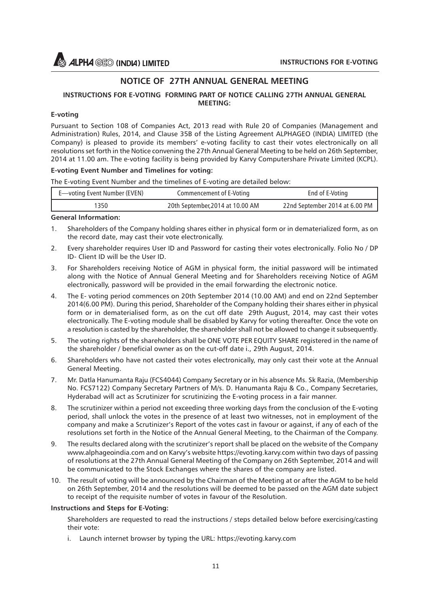### **NOTICE OF 27TH ANNUAL GENERAL MEETING**

#### **INSTRUCTIONS FOR E-VOTING FORMING PART OF NOTICE CALLING 27TH ANNUAL GENERAL MEETING:**

#### **E-voting**

Pursuant to Section 108 of Companies Act, 2013 read with Rule 20 of Companies (Management and Administration) Rules, 2014, and Clause 35B of the Listing Agreement ALPHAGEO (INDIA) LIMITED (the Company) is pleased to provide its members' e-voting facility to cast their votes electronically on all resolutions set forth in the Notice convening the 27th Annual General Meeting to be held on 26th September, 2014 at 11.00 am. The e-voting facility is being provided by Karvy Computershare Private Limited (KCPL).

#### **E-voting Event Number and Timelines for voting:**

The E-voting Event Number and the timelines of E-voting are detailed below:

| E—voting Event Number (EVEN) | Commencement of E-Voting         | End of E-Voting                |
|------------------------------|----------------------------------|--------------------------------|
| 1350                         | 20th September, 2014 at 10.00 AM | 22nd September 2014 at 6.00 PM |

#### **General Information:**

- 1. Shareholders of the Company holding shares either in physical form or in dematerialized form, as on the record date, may cast their vote electronically.
- 2. Every shareholder requires User ID and Password for casting their votes electronically. Folio No / DP ID- Client ID will be the User ID.
- 3. For Shareholders receiving Notice of AGM in physical form, the initial password will be intimated along with the Notice of Annual General Meeting and for Shareholders receiving Notice of AGM electronically, password will be provided in the email forwarding the electronic notice.
- 4. The E- voting period commences on 20th September 2014 (10.00 AM) and end on 22nd September 2014(6.00 PM). During this period, Shareholder of the Company holding their shares either in physical form or in dematerialised form, as on the cut off date 29th August, 2014, may cast their votes electronically. The E-voting module shall be disabled by Karvy for voting thereafter. Once the vote on a resolution is casted by the shareholder, the shareholder shall not be allowed to change it subsequently.
- 5. The voting rights of the shareholders shall be ONE VOTE PER EQUITY SHARE registered in the name of the shareholder / beneficial owner as on the cut-off date i., 29th August, 2014.
- 6. Shareholders who have not casted their votes electronically, may only cast their vote at the Annual General Meeting.
- 7. Mr. Datla Hanumanta Raju (FCS4044) Company Secretary or in his absence Ms. Sk Razia, (Membership No. FCS7122) Company Secretary Partners of M/s. D. Hanumanta Raju & Co., Company Secretaries, Hyderabad will act as Scrutinizer for scrutinizing the E-voting process in a fair manner.
- 8. The scrutinizer within a period not exceeding three working days from the conclusion of the E-voting period, shall unlock the votes in the presence of at least two witnesses, not in employment of the company and make a Scrutinizer's Report of the votes cast in favour or against, if any of each of the resolutions set forth in the Notice of the Annual General Meeting, to the Chairman of the Company.
- 9. The results declared along with the scrutinizer's report shall be placed on the website of the Company www.alphageoindia.com and on Karvy's website https://evoting.karvy.com within two days of passing of resolutions at the 27th Annual General Meeting of the Company on 26th September, 2014 and will be communicated to the Stock Exchanges where the shares of the company are listed.
- 10. The result of voting will be announced by the Chairman of the Meeting at or after the AGM to be held on 26th September, 2014 and the resolutions will be deemed to be passed on the AGM date subject to receipt of the requisite number of votes in favour of the Resolution.

#### **Instructions and Steps for E-Voting:**

Shareholders are requested to read the instructions / steps detailed below before exercising/casting their vote:

i. Launch internet browser by typing the URL: https://evoting.karvy.com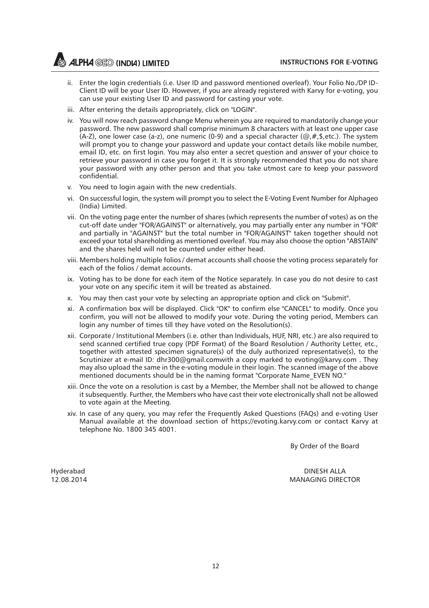**INSTRUCTIONS FOR E-VOTING** 

**ALPHA GEO (INDIA) LIMITED** 

- ii. Enter the login credentials (i.e. User ID and password mentioned overleaf). Your Folio No./DP ID-Client ID will be your User ID. However, if you are already registered with Karvy for e-voting, you can use your existing User ID and password for casting your vote.
- iii. After entering the details appropriately, click on "LOGIN".
- iv. You will now reach password change Menu wherein you are required to mandatorily change your password. The new password shall comprise minimum 8 characters with at least one upper case (A-Z), one lower case (a-z), one numeric (0-9) and a special character ( $\omega, \#$ , \$, etc.). The system will prompt you to change your password and update your contact details like mobile number, email ID, etc. on first login. You may also enter a secret question and answer of your choice to retrieve your password in case you forget it. It is strongly recommended that you do not share your password with any other person and that you take utmost care to keep your password confidential.
- v. You need to login again with the new credentials.
- vi. On successful login, the system will prompt you to select the E-Voting Event Number for Alphageo (India) Limited.
- vii. On the voting page enter the number of shares (which represents the number of votes) as on the cut-off date under "FOR/AGAINST" or alternatively, you may partially enter any number in "FOR" and partially in "AGAINST" but the total number in "FOR/AGAINST" taken together should not exceed your total shareholding as mentioned overleaf. You may also choose the option "ABSTAIN" and the shares held will not be counted under either head.
- viii. Members holding multiple folios / demat accounts shall choose the voting process separately for each of the folios / demat accounts.
- ix. Voting has to be done for each item of the Notice separately. In case you do not desire to cast your vote on any specific item it will be treated as abstained.
- x. You may then cast your vote by selecting an appropriate option and click on "Submit".
- xi. A confirmation box will be displayed. Click "OK" to confirm else "CANCEL" to modify. Once you confirm, you will not be allowed to modify your vote. During the voting period, Members can login any number of times till they have voted on the Resolution(s).
- xii. Corporate / Institutional Members (i.e. other than Individuals, HUF, NRI, etc.) are also required to send scanned certified true copy (PDF Format) of the Board Resolution / Authority Letter, etc., together with attested specimen signature(s) of the duly authorized representative(s), to the Scrutinizer at e-mail ID: dhr300@gmail.comwith a copy marked to evoting@karvy.com . They may also upload the same in the e-voting module in their login. The scanned image of the above mentioned documents should be in the naming format "Corporate Name\_EVEN NO."
- xiii. Once the vote on a resolution is cast by a Member, the Member shall not be allowed to change it subsequently. Further, the Members who have cast their vote electronically shall not be allowed to vote again at the Meeting.
- xiv. In case of any query, you may refer the Frequently Asked Questions (FAQs) and e-voting User Manual available at the download section of https://evoting.karvy.com or contact Karvy at telephone No. 1800 345 4001.

By Order of the Board

Hyderabad DINESH ALLA MANAGING DIRECTOR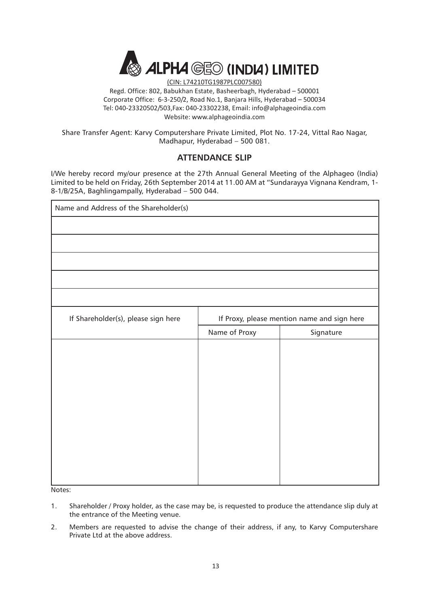

(CIN: L74210TG1987PLC007580) Regd. Office: 802, Babukhan Estate, Basheerbagh, Hyderabad – 500001 Corporate Office: 6-3-250/2, Road No.1, Banjara Hills, Hyderabad – 500034 Tel: 040-23320502/503,Fax: 040-23302238, Email: info@alphageoindia.com Website: www.alphageoindia.com

Share Transfer Agent: Karvy Computershare Private Limited, Plot No. 17-24, Vittal Rao Nagar, Madhapur, Hyderabad – 500 081.

### **ATTENDANCE SLIP**

I/We hereby record my/our presence at the 27th Annual General Meeting of the Alphageo (India) Limited to be held on Friday, 26th September 2014 at 11.00 AM at "Sundarayya Vignana Kendram, 1- 8-1/B/25A, Baghlingampally, Hyderabad – 500 044.

| Name and Address of the Shareholder(s) |                                             |           |  |
|----------------------------------------|---------------------------------------------|-----------|--|
|                                        |                                             |           |  |
|                                        |                                             |           |  |
|                                        |                                             |           |  |
|                                        |                                             |           |  |
|                                        |                                             |           |  |
| If Shareholder(s), please sign here    | If Proxy, please mention name and sign here |           |  |
|                                        | Name of Proxy                               | Signature |  |
|                                        |                                             |           |  |
|                                        |                                             |           |  |
|                                        |                                             |           |  |
|                                        |                                             |           |  |
|                                        |                                             |           |  |
|                                        |                                             |           |  |
|                                        |                                             |           |  |
|                                        |                                             |           |  |
|                                        |                                             |           |  |
|                                        |                                             |           |  |

Notes:

- 1. Shareholder / Proxy holder, as the case may be, is requested to produce the attendance slip duly at the entrance of the Meeting venue.
- 2. Members are requested to advise the change of their address, if any, to Karvy Computershare Private Ltd at the above address.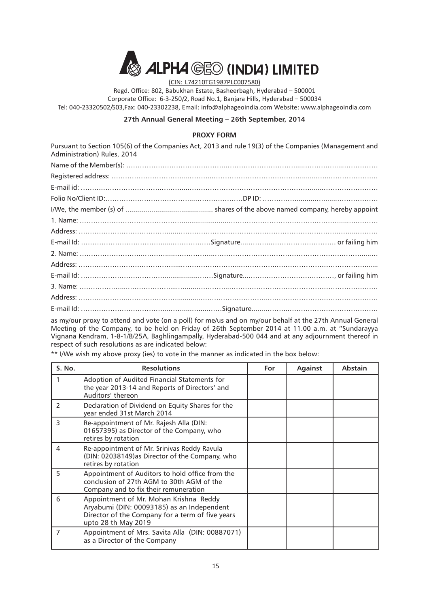

(CIN: L74210TG1987PLC007580)

Regd. Office: 802, Babukhan Estate, Basheerbagh, Hyderabad – 500001 Corporate Office: 6-3-250/2, Road No.1, Banjara Hills, Hyderabad – 500034 Tel: 040-23320502/503,Fax: 040-23302238, Email: info@alphageoindia.com Website: www.alphageoindia.com

#### **27th Annual General Meeting – 26th September, 2014**

#### **PROXY FORM**

Pursuant to Section 105(6) of the Companies Act, 2013 and rule 19(3) of the Companies (Management and Administration) Rules, 2014

as my/our proxy to attend and vote (on a poll) for me/us and on my/our behalf at the 27th Annual General Meeting of the Company, to be held on Friday of 26th September 2014 at 11.00 a.m. at "Sundarayya Vignana Kendram, 1-8-1/B/25A, Baghlingampally, Hyderabad-500 044 and at any adjournment thereof in respect of such resolutions as are indicated below:

| S. No.         | <b>Resolutions</b>                                                                                                                                              | For | <b>Against</b> | <b>Abstain</b> |
|----------------|-----------------------------------------------------------------------------------------------------------------------------------------------------------------|-----|----------------|----------------|
|                | Adoption of Audited Financial Statements for<br>the year 2013-14 and Reports of Directors' and<br>Auditors' thereon                                             |     |                |                |
| $\mathcal{P}$  | Declaration of Dividend on Equity Shares for the<br>year ended 31st March 2014                                                                                  |     |                |                |
| 3              | Re-appointment of Mr. Rajesh Alla (DIN:<br>01657395) as Director of the Company, who<br>retires by rotation                                                     |     |                |                |
| 4              | Re-appointment of Mr. Srinivas Reddy Ravula<br>(DIN: 02038149)as Director of the Company, who<br>retires by rotation                                            |     |                |                |
| 5              | Appointment of Auditors to hold office from the<br>conclusion of 27th AGM to 30th AGM of the<br>Company and to fix their remuneration                           |     |                |                |
| 6              | Appointment of Mr. Mohan Krishna Reddy<br>Aryabumi (DIN: 00093185) as an Independent<br>Director of the Company for a term of five years<br>upto 28 th May 2019 |     |                |                |
| $\overline{7}$ | Appointment of Mrs. Savita Alla (DIN: 00887071)<br>as a Director of the Company                                                                                 |     |                |                |

\*\* I/We wish my above proxy (ies) to vote in the manner as indicated in the box below: